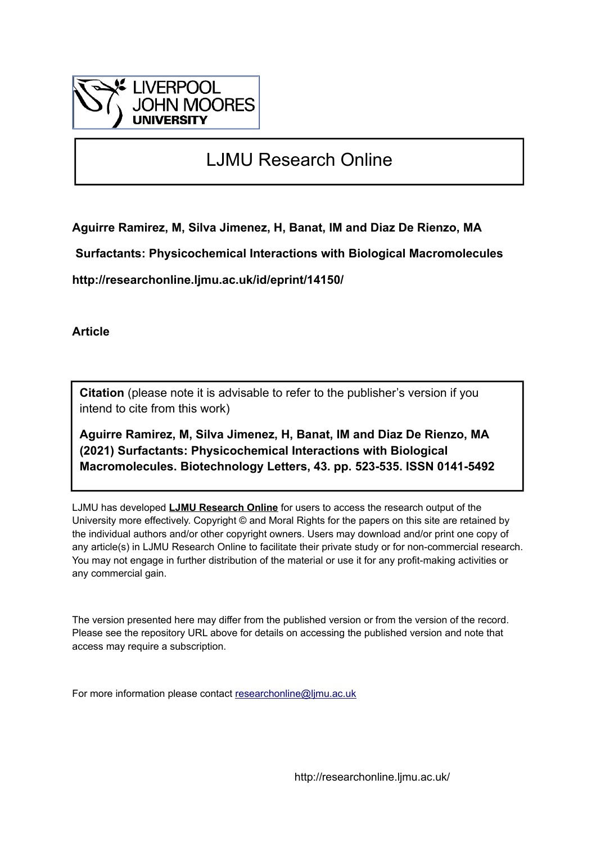

# LJMU Research Online

**Aguirre Ramirez, M, Silva Jimenez, H, Banat, IM and Diaz De Rienzo, MA**

 **Surfactants: Physicochemical Interactions with Biological Macromolecules**

**http://researchonline.ljmu.ac.uk/id/eprint/14150/**

**Article**

**Citation** (please note it is advisable to refer to the publisher's version if you intend to cite from this work)

**Aguirre Ramirez, M, Silva Jimenez, H, Banat, IM and Diaz De Rienzo, MA (2021) Surfactants: Physicochemical Interactions with Biological Macromolecules. Biotechnology Letters, 43. pp. 523-535. ISSN 0141-5492** 

LJMU has developed **[LJMU Research Online](http://researchonline.ljmu.ac.uk/)** for users to access the research output of the University more effectively. Copyright © and Moral Rights for the papers on this site are retained by the individual authors and/or other copyright owners. Users may download and/or print one copy of any article(s) in LJMU Research Online to facilitate their private study or for non-commercial research. You may not engage in further distribution of the material or use it for any profit-making activities or any commercial gain.

The version presented here may differ from the published version or from the version of the record. Please see the repository URL above for details on accessing the published version and note that access may require a subscription.

For more information please contact [researchonline@ljmu.ac.uk](mailto:researchonline@ljmu.ac.uk)

http://researchonline.ljmu.ac.uk/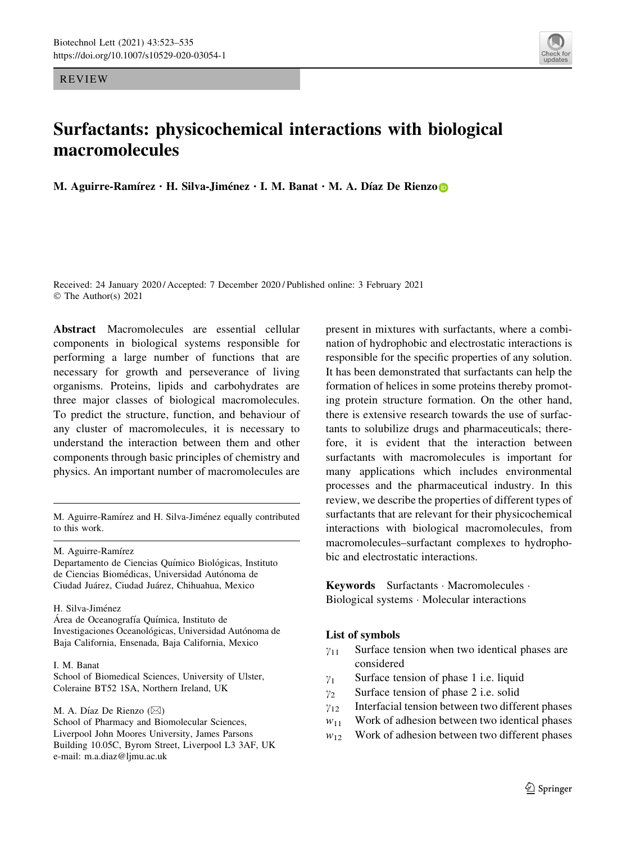REVIEW

## Surfactants: physicochemical interactions with biological macromolecules

M. Aguirre-Ramírez  $\cdot$  H. Silva-Jiménez  $\cdot$  I. M. Banat  $\cdot$  M. A. Díaz De Rienzo

Received: 24 January 2020 / Accepted: 7 December 2020 / Published online: 3 February 2021 © The Author(s) 2021

Abstract Macromolecules are essential cellular components in biological systems responsible for performing a large number of functions that are necessary for growth and perseverance of living organisms. Proteins, lipids and carbohydrates are three major classes of biological macromolecules. To predict the structure, function, and behaviour of any cluster of macromolecules, it is necessary to understand the interaction between them and other components through basic principles of chemistry and physics. An important number of macromolecules are

M. Aguirre-Ramírez

Departamento de Ciencias Químico Biológicas, Instituto de Ciencias Biomédicas, Universidad Autónoma de Ciudad Jua´rez, Ciudad Jua´rez, Chihuahua, Mexico

#### H. Silva-Jiménez

Area de Oceanografía Química, Instituto de Investigaciones Oceanológicas, Universidad Autónoma de Baja California, Ensenada, Baja California, Mexico

#### I. M. Banat

School of Biomedical Sciences, University of Ulster, Coleraine BT52 1SA, Northern Ireland, UK

M. A. Díaz De Rienzo ( $\boxtimes$ ) School of Pharmacy and Biomolecular Sciences, Liverpool John Moores University, James Parsons Building 10.05C, Byrom Street, Liverpool L3 3AF, UK e-mail: m.a.diaz@ljmu.ac.uk

present in mixtures with surfactants, where a combination of hydrophobic and electrostatic interactions is responsible for the specific properties of any solution. It has been demonstrated that surfactants can help the formation of helices in some proteins thereby promoting protein structure formation. On the other hand, there is extensive research towards the use of surfactants to solubilize drugs and pharmaceuticals; therefore, it is evident that the interaction between surfactants with macromolecules is important for many applications which includes environmental processes and the pharmaceutical industry. In this review, we describe the properties of different types of surfactants that are relevant for their physicochemical interactions with biological macromolecules, from macromolecules–surfactant complexes to hydrophobic and electrostatic interactions.

Keywords Surfactants - Macromolecules - Biological systems - Molecular interactions

### List of symbols

- $\gamma_{11}$  Surface tension when two identical phases are considered
- $\gamma_1$  Surface tension of phase 1 i.e. liquid
- $\gamma_2$  Surface tension of phase 2 i.e. solid
- $\gamma_{12}$  Interfacial tension between two different phases
- $w_{11}$  Work of adhesion between two identical phases
- $w_{12}$  Work of adhesion between two different phases

M. Aguirre-Ramírez and H. Silva-Jiménez equally contributed to this work.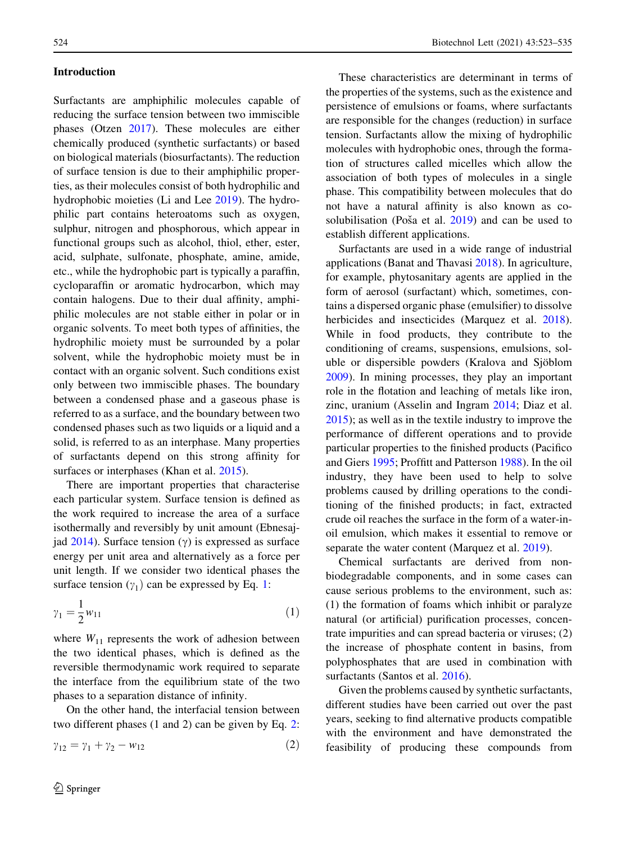### Introduction

Surfactants are amphiphilic molecules capable of reducing the surface tension between two immiscible phases (Otzen [2017\)](#page-12-0). These molecules are either chemically produced (synthetic surfactants) or based on biological materials (biosurfactants). The reduction of surface tension is due to their amphiphilic properties, as their molecules consist of both hydrophilic and hydrophobic moieties (Li and Lee [2019](#page-11-0)). The hydrophilic part contains heteroatoms such as oxygen, sulphur, nitrogen and phosphorous, which appear in functional groups such as alcohol, thiol, ether, ester, acid, sulphate, sulfonate, phosphate, amine, amide, etc., while the hydrophobic part is typically a paraffin, cycloparaffin or aromatic hydrocarbon, which may contain halogens. Due to their dual affinity, amphiphilic molecules are not stable either in polar or in organic solvents. To meet both types of affinities, the hydrophilic moiety must be surrounded by a polar solvent, while the hydrophobic moiety must be in contact with an organic solvent. Such conditions exist only between two immiscible phases. The boundary between a condensed phase and a gaseous phase is referred to as a surface, and the boundary between two condensed phases such as two liquids or a liquid and a solid, is referred to as an interphase. Many properties of surfactants depend on this strong affinity for surfaces or interphases (Khan et al. [2015\)](#page-11-0).

There are important properties that characterise each particular system. Surface tension is defined as the work required to increase the area of a surface isothermally and reversibly by unit amount (Ebnesajjad  $2014$ ). Surface tension ( $\gamma$ ) is expressed as surface energy per unit area and alternatively as a force per unit length. If we consider two identical phases the surface tension  $(y_1)$  can be expressed by Eq. 1:

$$
\gamma_1 = \frac{1}{2} w_{11} \tag{1}
$$

where  $W_{11}$  represents the work of adhesion between the two identical phases, which is defined as the reversible thermodynamic work required to separate the interface from the equilibrium state of the two phases to a separation distance of infinity.

On the other hand, the interfacial tension between two different phases (1 and 2) can be given by Eq. 2:

$$
\gamma_{12} = \gamma_1 + \gamma_2 - w_{12} \tag{2}
$$

These characteristics are determinant in terms of the properties of the systems, such as the existence and persistence of emulsions or foams, where surfactants are responsible for the changes (reduction) in surface tension. Surfactants allow the mixing of hydrophilic molecules with hydrophobic ones, through the formation of structures called micelles which allow the association of both types of molecules in a single phase. This compatibility between molecules that do not have a natural affinity is also known as cosolubilisation (Poša et al.  $2019$ ) and can be used to establish different applications.

Surfactants are used in a wide range of industrial applications (Banat and Thavasi [2018\)](#page-10-0). In agriculture, for example, phytosanitary agents are applied in the form of aerosol (surfactant) which, sometimes, contains a dispersed organic phase (emulsifier) to dissolve herbicides and insecticides (Marquez et al. [2018](#page-12-0)). While in food products, they contribute to the conditioning of creams, suspensions, emulsions, soluble or dispersible powders (Kralova and Sjöblom [2009\)](#page-11-0). In mining processes, they play an important role in the flotation and leaching of metals like iron, zinc, uranium (Asselin and Ingram [2014](#page-10-0); Diaz et al. [2015\)](#page-11-0); as well as in the textile industry to improve the performance of different operations and to provide particular properties to the finished products (Pacifico and Giers [1995](#page-12-0); Proffitt and Patterson [1988\)](#page-12-0). In the oil industry, they have been used to help to solve problems caused by drilling operations to the conditioning of the finished products; in fact, extracted crude oil reaches the surface in the form of a water-inoil emulsion, which makes it essential to remove or separate the water content (Marquez et al. [2019](#page-12-0)).

Chemical surfactants are derived from nonbiodegradable components, and in some cases can cause serious problems to the environment, such as: (1) the formation of foams which inhibit or paralyze natural (or artificial) purification processes, concentrate impurities and can spread bacteria or viruses; (2) the increase of phosphate content in basins, from polyphosphates that are used in combination with surfactants (Santos et al. [2016](#page-12-0)).

Given the problems caused by synthetic surfactants, different studies have been carried out over the past years, seeking to find alternative products compatible with the environment and have demonstrated the feasibility of producing these compounds from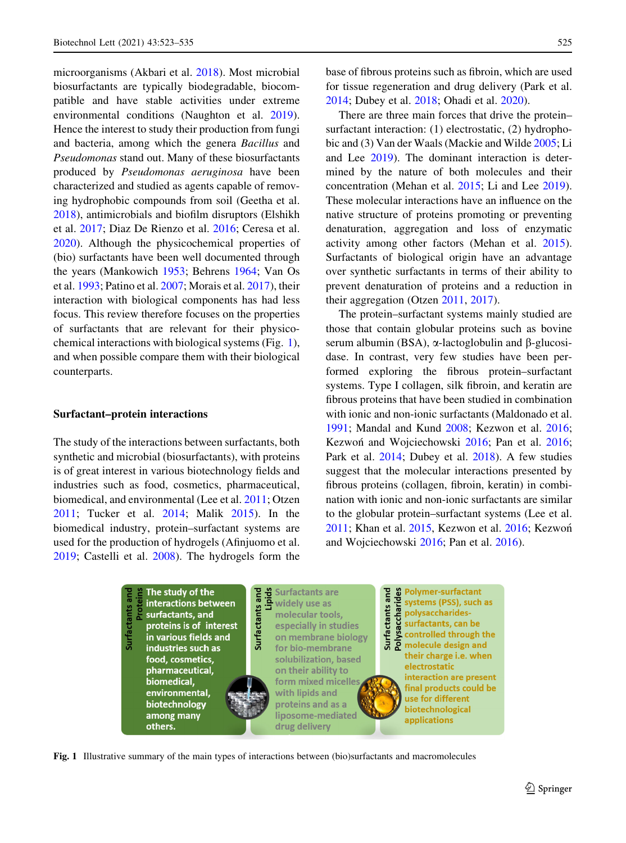microorganisms (Akbari et al. [2018](#page-10-0)). Most microbial biosurfactants are typically biodegradable, biocompatible and have stable activities under extreme environmental conditions (Naughton et al. [2019](#page-12-0)). Hence the interest to study their production from fungi and bacteria, among which the genera Bacillus and Pseudomonas stand out. Many of these biosurfactants produced by Pseudomonas aeruginosa have been characterized and studied as agents capable of removing hydrophobic compounds from soil (Geetha et al. [2018\)](#page-11-0), antimicrobials and biofilm disruptors (Elshikh et al. [2017;](#page-11-0) Diaz De Rienzo et al. [2016](#page-11-0); Ceresa et al. [2020\)](#page-10-0). Although the physicochemical properties of (bio) surfactants have been well documented through the years (Mankowich [1953;](#page-12-0) Behrens [1964;](#page-10-0) Van Os et al. [1993;](#page-13-0) Patino et al. [2007](#page-12-0); Morais et al. [2017](#page-12-0)), their interaction with biological components has had less focus. This review therefore focuses on the properties of surfactants that are relevant for their physicochemical interactions with biological systems (Fig. 1), and when possible compare them with their biological counterparts.

#### Surfactant–protein interactions

The study of the interactions between surfactants, both synthetic and microbial (biosurfactants), with proteins is of great interest in various biotechnology fields and industries such as food, cosmetics, pharmaceutical, biomedical, and environmental (Lee et al. [2011;](#page-11-0) Otzen [2011;](#page-12-0) Tucker et al. [2014](#page-13-0); Malik [2015](#page-12-0)). In the biomedical industry, protein–surfactant systems are used for the production of hydrogels (Afinjuomo et al. [2019;](#page-10-0) Castelli et al. [2008](#page-10-0)). The hydrogels form the base of fibrous proteins such as fibroin, which are used for tissue regeneration and drug delivery (Park et al. [2014;](#page-12-0) Dubey et al. [2018](#page-11-0); Ohadi et al. [2020\)](#page-12-0).

There are three main forces that drive the protein– surfactant interaction: (1) electrostatic, (2) hydrophobic and (3) Van der Waals (Mackie and Wilde [2005;](#page-12-0) Li and Lee [2019](#page-11-0)). The dominant interaction is determined by the nature of both molecules and their concentration (Mehan et al. [2015](#page-12-0); Li and Lee [2019](#page-11-0)). These molecular interactions have an influence on the native structure of proteins promoting or preventing denaturation, aggregation and loss of enzymatic activity among other factors (Mehan et al. [2015](#page-12-0)). Surfactants of biological origin have an advantage over synthetic surfactants in terms of their ability to prevent denaturation of proteins and a reduction in their aggregation (Otzen [2011](#page-12-0), [2017](#page-12-0)).

The protein–surfactant systems mainly studied are those that contain globular proteins such as bovine serum albumin (BSA),  $\alpha$ -lactoglobulin and  $\beta$ -glucosidase. In contrast, very few studies have been performed exploring the fibrous protein–surfactant systems. Type I collagen, silk fibroin, and keratin are fibrous proteins that have been studied in combination with ionic and non-ionic surfactants (Maldonado et al. [1991;](#page-12-0) Mandal and Kund [2008;](#page-12-0) Kezwon et al. [2016](#page-11-0); Kezwoń and Wojciechowski [2016;](#page-11-0) Pan et al. [2016](#page-12-0); Park et al. [2014;](#page-12-0) Dubey et al. [2018](#page-11-0)). A few studies suggest that the molecular interactions presented by fibrous proteins (collagen, fibroin, keratin) in combination with ionic and non-ionic surfactants are similar to the globular protein–surfactant systems (Lee et al. [2011;](#page-11-0) Khan et al. [2015](#page-11-0), Kezwon et al. [2016](#page-11-0); Kezwon and Wojciechowski [2016](#page-11-0); Pan et al. [2016](#page-12-0)).



Fig. 1 Illustrative summary of the main types of interactions between (bio)surfactants and macromolecules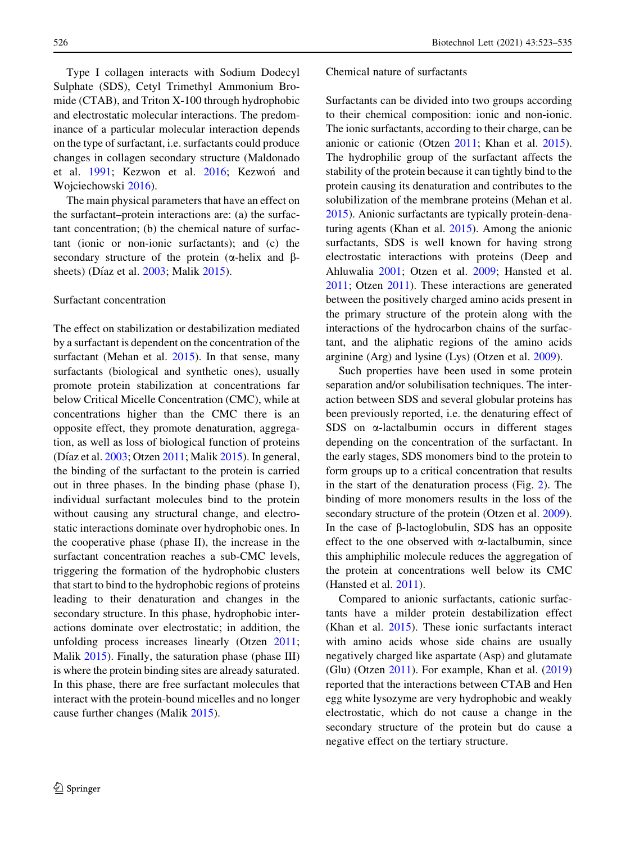Type I collagen interacts with Sodium Dodecyl Sulphate (SDS), Cetyl Trimethyl Ammonium Bromide (CTAB), and Triton X-100 through hydrophobic and electrostatic molecular interactions. The predominance of a particular molecular interaction depends on the type of surfactant, i.e. surfactants could produce changes in collagen secondary structure (Maldonado et al. [1991;](#page-12-0) Kezwon et al. [2016;](#page-11-0) Kezwon and Wojciechowski [2016\)](#page-11-0).

The main physical parameters that have an effect on the surfactant–protein interactions are: (a) the surfactant concentration; (b) the chemical nature of surfactant (ionic or non-ionic surfactants); and (c) the secondary structure of the protein  $(\alpha$ -helix and  $\beta$ -sheets) (Díaz et al. [2003;](#page-11-0) Malik [2015](#page-12-0)).

#### Surfactant concentration

The effect on stabilization or destabilization mediated by a surfactant is dependent on the concentration of the surfactant (Mehan et al. [2015](#page-12-0)). In that sense, many surfactants (biological and synthetic ones), usually promote protein stabilization at concentrations far below Critical Micelle Concentration (CMC), while at concentrations higher than the CMC there is an opposite effect, they promote denaturation, aggregation, as well as loss of biological function of proteins (Díaz et al. [2003;](#page-11-0) Otzen [2011;](#page-12-0) Malik [2015](#page-12-0)). In general, the binding of the surfactant to the protein is carried out in three phases. In the binding phase (phase I), individual surfactant molecules bind to the protein without causing any structural change, and electrostatic interactions dominate over hydrophobic ones. In the cooperative phase (phase II), the increase in the surfactant concentration reaches a sub-CMC levels, triggering the formation of the hydrophobic clusters that start to bind to the hydrophobic regions of proteins leading to their denaturation and changes in the secondary structure. In this phase, hydrophobic interactions dominate over electrostatic; in addition, the unfolding process increases linearly (Otzen [2011](#page-12-0); Malik [2015\)](#page-12-0). Finally, the saturation phase (phase III) is where the protein binding sites are already saturated. In this phase, there are free surfactant molecules that interact with the protein-bound micelles and no longer cause further changes (Malik [2015\)](#page-12-0).

#### Chemical nature of surfactants

Surfactants can be divided into two groups according to their chemical composition: ionic and non-ionic. The ionic surfactants, according to their charge, can be anionic or cationic (Otzen [2011](#page-12-0); Khan et al. [2015](#page-11-0)). The hydrophilic group of the surfactant affects the stability of the protein because it can tightly bind to the protein causing its denaturation and contributes to the solubilization of the membrane proteins (Mehan et al. [2015\)](#page-12-0). Anionic surfactants are typically protein-denaturing agents (Khan et al. [2015\)](#page-11-0). Among the anionic surfactants, SDS is well known for having strong electrostatic interactions with proteins (Deep and Ahluwalia [2001](#page-11-0); Otzen et al. [2009;](#page-12-0) Hansted et al. [2011;](#page-11-0) Otzen [2011\)](#page-12-0). These interactions are generated between the positively charged amino acids present in the primary structure of the protein along with the interactions of the hydrocarbon chains of the surfactant, and the aliphatic regions of the amino acids arginine (Arg) and lysine (Lys) (Otzen et al. [2009](#page-12-0)).

Such properties have been used in some protein separation and/or solubilisation techniques. The interaction between SDS and several globular proteins has been previously reported, i.e. the denaturing effect of SDS on  $\alpha$ -lactalbumin occurs in different stages depending on the concentration of the surfactant. In the early stages, SDS monomers bind to the protein to form groups up to a critical concentration that results in the start of the denaturation process (Fig. [2](#page-5-0)). The binding of more monomers results in the loss of the secondary structure of the protein (Otzen et al. [2009](#page-12-0)). In the case of  $\beta$ -lactoglobulin, SDS has an opposite effect to the one observed with  $\alpha$ -lactalbumin, since this amphiphilic molecule reduces the aggregation of the protein at concentrations well below its CMC (Hansted et al. [2011](#page-11-0)).

Compared to anionic surfactants, cationic surfactants have a milder protein destabilization effect (Khan et al. [2015\)](#page-11-0). These ionic surfactants interact with amino acids whose side chains are usually negatively charged like aspartate (Asp) and glutamate (Glu) (Otzen [2011\)](#page-12-0). For example, Khan et al. ([2019\)](#page-11-0) reported that the interactions between CTAB and Hen egg white lysozyme are very hydrophobic and weakly electrostatic, which do not cause a change in the secondary structure of the protein but do cause a negative effect on the tertiary structure.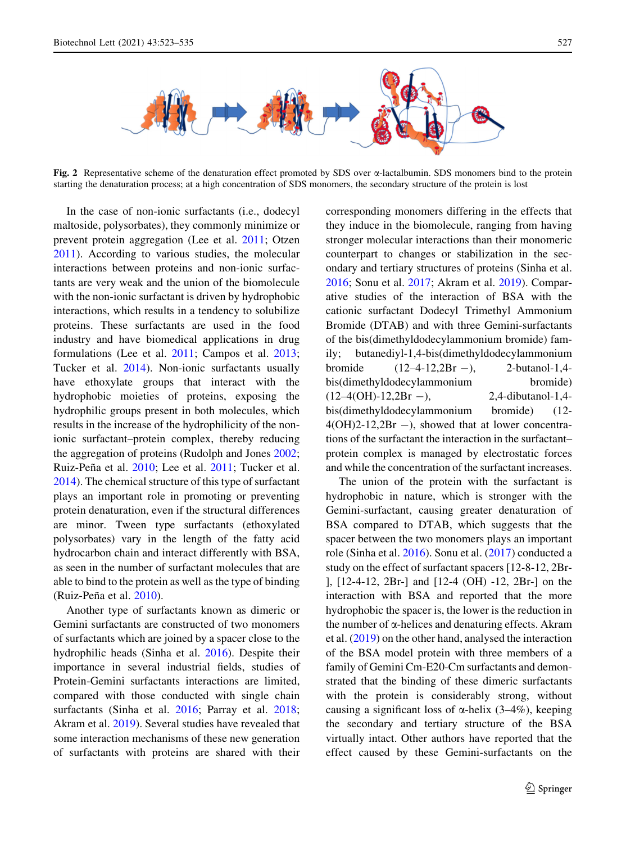<span id="page-5-0"></span>

Fig. 2 Representative scheme of the denaturation effect promoted by SDS over  $\alpha$ -lactalbumin. SDS monomers bind to the protein starting the denaturation process; at a high concentration of SDS monomers, the secondary structure of the protein is lost

In the case of non-ionic surfactants (i.e., dodecyl maltoside, polysorbates), they commonly minimize or prevent protein aggregation (Lee et al. [2011;](#page-11-0) Otzen [2011\)](#page-12-0). According to various studies, the molecular interactions between proteins and non-ionic surfactants are very weak and the union of the biomolecule with the non-ionic surfactant is driven by hydrophobic interactions, which results in a tendency to solubilize proteins. These surfactants are used in the food industry and have biomedical applications in drug formulations (Lee et al. [2011](#page-11-0); Campos et al. [2013](#page-10-0); Tucker et al. [2014\)](#page-13-0). Non-ionic surfactants usually have ethoxylate groups that interact with the hydrophobic moieties of proteins, exposing the hydrophilic groups present in both molecules, which results in the increase of the hydrophilicity of the nonionic surfactant–protein complex, thereby reducing the aggregation of proteins (Rudolph and Jones [2002](#page-12-0); Ruiz-Peña et al. [2010;](#page-12-0) Lee et al. [2011;](#page-11-0) Tucker et al. [2014\)](#page-13-0). The chemical structure of this type of surfactant plays an important role in promoting or preventing protein denaturation, even if the structural differences are minor. Tween type surfactants (ethoxylated polysorbates) vary in the length of the fatty acid hydrocarbon chain and interact differently with BSA, as seen in the number of surfactant molecules that are able to bind to the protein as well as the type of binding (Ruiz-Peña et al. [2010](#page-12-0)).

Another type of surfactants known as dimeric or Gemini surfactants are constructed of two monomers of surfactants which are joined by a spacer close to the hydrophilic heads (Sinha et al. [2016](#page-12-0)). Despite their importance in several industrial fields, studies of Protein-Gemini surfactants interactions are limited, compared with those conducted with single chain surfactants (Sinha et al. [2016](#page-12-0); Parray et al. [2018](#page-12-0); Akram et al. [2019\)](#page-10-0). Several studies have revealed that some interaction mechanisms of these new generation of surfactants with proteins are shared with their

corresponding monomers differing in the effects that they induce in the biomolecule, ranging from having stronger molecular interactions than their monomeric counterpart to changes or stabilization in the secondary and tertiary structures of proteins (Sinha et al. [2016;](#page-12-0) Sonu et al. [2017;](#page-12-0) Akram et al. [2019](#page-10-0)). Comparative studies of the interaction of BSA with the cationic surfactant Dodecyl Trimethyl Ammonium Bromide (DTAB) and with three Gemini-surfactants of the bis(dimethyldodecylammonium bromide) family; butanediyl-1,4-bis(dimethyldodecylammonium bromide  $(12-4-12,2Br -)$ , 2-butanol-1,4bis(dimethyldodecylammonium bromide)  $(12-4(OH)-12,2Br -)$ , 2,4-dibutanol-1,4bis(dimethyldodecylammonium bromide) (12-  $4(OH)2-12,2Br -$ , showed that at lower concentrations of the surfactant the interaction in the surfactant– protein complex is managed by electrostatic forces and while the concentration of the surfactant increases.

The union of the protein with the surfactant is hydrophobic in nature, which is stronger with the Gemini-surfactant, causing greater denaturation of BSA compared to DTAB, which suggests that the spacer between the two monomers plays an important role (Sinha et al. [2016](#page-12-0)). Sonu et al. [\(2017](#page-12-0)) conducted a study on the effect of surfactant spacers [12-8-12, 2Br- ], [12-4-12, 2Br-] and [12-4 (OH) -12, 2Br-] on the interaction with BSA and reported that the more hydrophobic the spacer is, the lower is the reduction in the number of  $\alpha$ -helices and denaturing effects. Akram et al. ([2019\)](#page-10-0) on the other hand, analysed the interaction of the BSA model protein with three members of a family of Gemini Cm-E20-Cm surfactants and demonstrated that the binding of these dimeric surfactants with the protein is considerably strong, without causing a significant loss of  $\alpha$ -helix (3–4%), keeping the secondary and tertiary structure of the BSA virtually intact. Other authors have reported that the effect caused by these Gemini-surfactants on the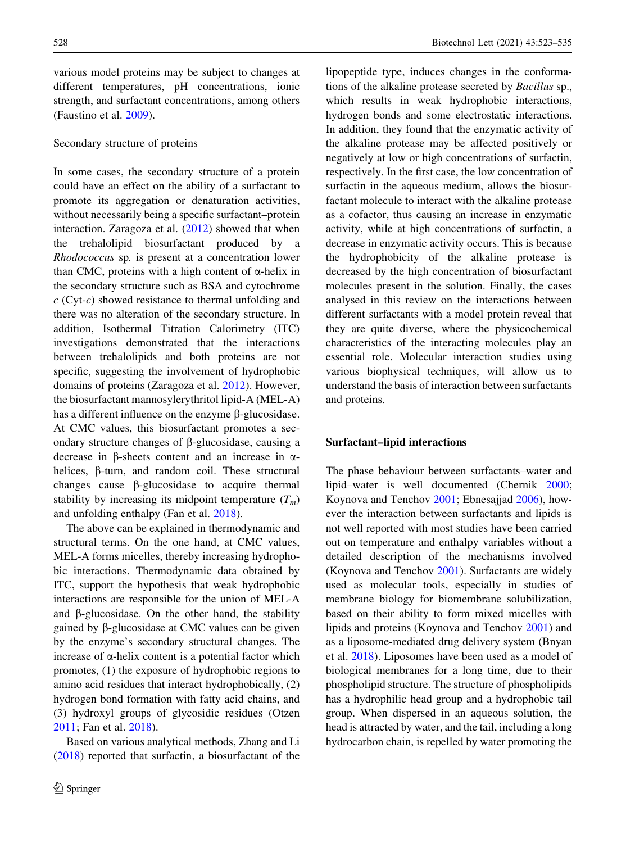various model proteins may be subject to changes at different temperatures, pH concentrations, ionic strength, and surfactant concentrations, among others (Faustino et al. [2009\)](#page-11-0).

#### Secondary structure of proteins

In some cases, the secondary structure of a protein could have an effect on the ability of a surfactant to promote its aggregation or denaturation activities, without necessarily being a specific surfactant–protein interaction. Zaragoza et al. [\(2012](#page-13-0)) showed that when the trehalolipid biosurfactant produced by a Rhodococcus sp. is present at a concentration lower than CMC, proteins with a high content of  $\alpha$ -helix in the secondary structure such as BSA and cytochrome  $c$  (Cyt- $c$ ) showed resistance to thermal unfolding and there was no alteration of the secondary structure. In addition, Isothermal Titration Calorimetry (ITC) investigations demonstrated that the interactions between trehalolipids and both proteins are not specific, suggesting the involvement of hydrophobic domains of proteins (Zaragoza et al. [2012\)](#page-13-0). However, the biosurfactant mannosylerythritol lipid-A (MEL-A) has a different influence on the enzyme  $\beta$ -glucosidase. At CMC values, this biosurfactant promotes a secondary structure changes of  $\beta$ -glucosidase, causing a decrease in  $\beta$ -sheets content and an increase in  $\alpha$ helices, b-turn, and random coil. These structural changes cause  $\beta$ -glucosidase to acquire thermal stability by increasing its midpoint temperature  $(T_m)$ and unfolding enthalpy (Fan et al. [2018\)](#page-11-0).

The above can be explained in thermodynamic and structural terms. On the one hand, at CMC values, MEL-A forms micelles, thereby increasing hydrophobic interactions. Thermodynamic data obtained by ITC, support the hypothesis that weak hydrophobic interactions are responsible for the union of MEL-A and  $\beta$ -glucosidase. On the other hand, the stability gained by  $\beta$ -glucosidase at CMC values can be given by the enzyme's secondary structural changes. The increase of  $\alpha$ -helix content is a potential factor which promotes, (1) the exposure of hydrophobic regions to amino acid residues that interact hydrophobically, (2) hydrogen bond formation with fatty acid chains, and (3) hydroxyl groups of glycosidic residues (Otzen [2011;](#page-12-0) Fan et al. [2018\)](#page-11-0).

Based on various analytical methods, Zhang and Li [\(2018](#page-13-0)) reported that surfactin, a biosurfactant of the lipopeptide type, induces changes in the conformations of the alkaline protease secreted by Bacillus sp., which results in weak hydrophobic interactions, hydrogen bonds and some electrostatic interactions. In addition, they found that the enzymatic activity of the alkaline protease may be affected positively or negatively at low or high concentrations of surfactin, respectively. In the first case, the low concentration of surfactin in the aqueous medium, allows the biosurfactant molecule to interact with the alkaline protease as a cofactor, thus causing an increase in enzymatic activity, while at high concentrations of surfactin, a decrease in enzymatic activity occurs. This is because the hydrophobicity of the alkaline protease is decreased by the high concentration of biosurfactant molecules present in the solution. Finally, the cases analysed in this review on the interactions between different surfactants with a model protein reveal that they are quite diverse, where the physicochemical characteristics of the interacting molecules play an essential role. Molecular interaction studies using various biophysical techniques, will allow us to understand the basis of interaction between surfactants and proteins.

#### Surfactant–lipid interactions

The phase behaviour between surfactants–water and lipid–water is well documented (Chernik [2000](#page-11-0); Koynova and Tenchov [2001](#page-11-0); Ebnesajjad [2006](#page-11-0)), however the interaction between surfactants and lipids is not well reported with most studies have been carried out on temperature and enthalpy variables without a detailed description of the mechanisms involved (Koynova and Tenchov [2001](#page-11-0)). Surfactants are widely used as molecular tools, especially in studies of membrane biology for biomembrane solubilization, based on their ability to form mixed micelles with lipids and proteins (Koynova and Tenchov [2001\)](#page-11-0) and as a liposome-mediated drug delivery system (Bnyan et al. [2018](#page-10-0)). Liposomes have been used as a model of biological membranes for a long time, due to their phospholipid structure. The structure of phospholipids has a hydrophilic head group and a hydrophobic tail group. When dispersed in an aqueous solution, the head is attracted by water, and the tail, including a long hydrocarbon chain, is repelled by water promoting the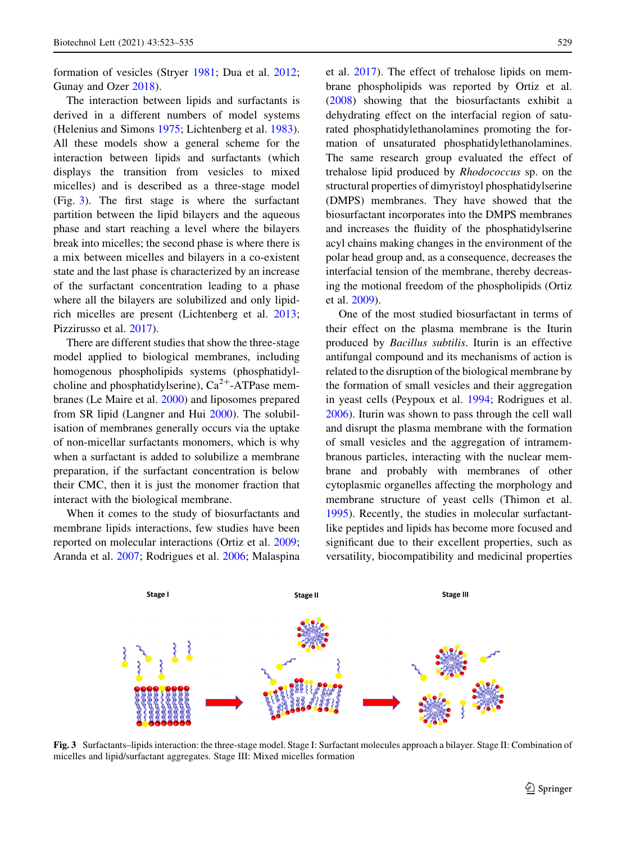formation of vesicles (Stryer [1981;](#page-12-0) Dua et al. [2012](#page-11-0); Gunay and Ozer [2018\)](#page-11-0).

The interaction between lipids and surfactants is derived in a different numbers of model systems (Helenius and Simons [1975;](#page-11-0) Lichtenberg et al. [1983](#page-12-0)). All these models show a general scheme for the interaction between lipids and surfactants (which displays the transition from vesicles to mixed micelles) and is described as a three-stage model (Fig. 3). The first stage is where the surfactant partition between the lipid bilayers and the aqueous phase and start reaching a level where the bilayers break into micelles; the second phase is where there is a mix between micelles and bilayers in a co-existent state and the last phase is characterized by an increase of the surfactant concentration leading to a phase where all the bilayers are solubilized and only lipidrich micelles are present (Lichtenberg et al. [2013](#page-12-0); Pizzirusso et al. [2017](#page-12-0)).

There are different studies that show the three-stage model applied to biological membranes, including homogenous phospholipids systems (phosphatidylcholine and phosphatidylserine),  $Ca^{2+}-ATP$ ase membranes (Le Maire et al. [2000\)](#page-11-0) and liposomes prepared from SR lipid (Langner and Hui [2000](#page-11-0)). The solubilisation of membranes generally occurs via the uptake of non-micellar surfactants monomers, which is why when a surfactant is added to solubilize a membrane preparation, if the surfactant concentration is below their CMC, then it is just the monomer fraction that interact with the biological membrane.

When it comes to the study of biosurfactants and membrane lipids interactions, few studies have been reported on molecular interactions (Ortiz et al. [2009](#page-12-0); Aranda et al. [2007](#page-10-0); Rodrigues et al. [2006;](#page-12-0) Malaspina et al. [2017](#page-12-0)). The effect of trehalose lipids on membrane phospholipids was reported by Ortiz et al. [\(2008](#page-12-0)) showing that the biosurfactants exhibit a dehydrating effect on the interfacial region of saturated phosphatidylethanolamines promoting the formation of unsaturated phosphatidylethanolamines. The same research group evaluated the effect of trehalose lipid produced by Rhodococcus sp. on the structural properties of dimyristoyl phosphatidylserine (DMPS) membranes. They have showed that the biosurfactant incorporates into the DMPS membranes and increases the fluidity of the phosphatidylserine acyl chains making changes in the environment of the polar head group and, as a consequence, decreases the interfacial tension of the membrane, thereby decreasing the motional freedom of the phospholipids (Ortiz et al. [2009](#page-12-0)).

One of the most studied biosurfactant in terms of their effect on the plasma membrane is the Iturin produced by Bacillus subtilis. Iturin is an effective antifungal compound and its mechanisms of action is related to the disruption of the biological membrane by the formation of small vesicles and their aggregation in yeast cells (Peypoux et al. [1994;](#page-12-0) Rodrigues et al. [2006\)](#page-12-0). Iturin was shown to pass through the cell wall and disrupt the plasma membrane with the formation of small vesicles and the aggregation of intramembranous particles, interacting with the nuclear membrane and probably with membranes of other cytoplasmic organelles affecting the morphology and membrane structure of yeast cells (Thimon et al. [1995\)](#page-13-0). Recently, the studies in molecular surfactantlike peptides and lipids has become more focused and significant due to their excellent properties, such as versatility, biocompatibility and medicinal properties



Fig. 3 Surfactants–lipids interaction: the three-stage model. Stage I: Surfactant molecules approach a bilayer. Stage II: Combination of micelles and lipid/surfactant aggregates. Stage III: Mixed micelles formation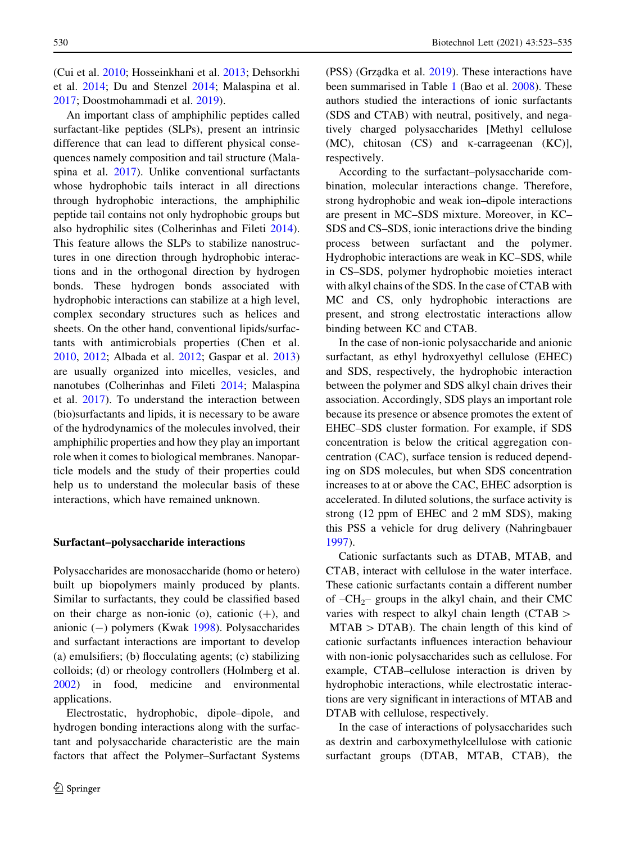(Cui et al. [2010;](#page-11-0) Hosseinkhani et al. [2013](#page-11-0); Dehsorkhi et al. [2014](#page-11-0); Du and Stenzel [2014;](#page-11-0) Malaspina et al. [2017;](#page-12-0) Doostmohammadi et al. [2019\)](#page-11-0).

An important class of amphiphilic peptides called surfactant-like peptides (SLPs), present an intrinsic difference that can lead to different physical consequences namely composition and tail structure (Mala-spina et al. [2017](#page-12-0)). Unlike conventional surfactants whose hydrophobic tails interact in all directions through hydrophobic interactions, the amphiphilic peptide tail contains not only hydrophobic groups but also hydrophilic sites (Colherinhas and Fileti [2014](#page-11-0)). This feature allows the SLPs to stabilize nanostructures in one direction through hydrophobic interactions and in the orthogonal direction by hydrogen bonds. These hydrogen bonds associated with hydrophobic interactions can stabilize at a high level, complex secondary structures such as helices and sheets. On the other hand, conventional lipids/surfactants with antimicrobials properties (Chen et al. [2010,](#page-10-0) [2012;](#page-11-0) Albada et al. [2012](#page-10-0); Gaspar et al. [2013\)](#page-11-0) are usually organized into micelles, vesicles, and nanotubes (Colherinhas and Fileti [2014](#page-11-0); Malaspina et al. [2017](#page-12-0)). To understand the interaction between (bio)surfactants and lipids, it is necessary to be aware of the hydrodynamics of the molecules involved, their amphiphilic properties and how they play an important role when it comes to biological membranes. Nanoparticle models and the study of their properties could help us to understand the molecular basis of these interactions, which have remained unknown.

#### Surfactant–polysaccharide interactions

Polysaccharides are monosaccharide (homo or hetero) built up biopolymers mainly produced by plants. Similar to surfactants, they could be classified based on their charge as non-ionic (o), cationic  $(+)$ , and anionic  $(-)$  polymers (Kwak [1998\)](#page-11-0). Polysaccharides and surfactant interactions are important to develop (a) emulsifiers; (b) flocculating agents; (c) stabilizing colloids; (d) or rheology controllers (Holmberg et al. [2002\)](#page-11-0) in food, medicine and environmental applications.

Electrostatic, hydrophobic, dipole–dipole, and hydrogen bonding interactions along with the surfactant and polysaccharide characteristic are the main factors that affect the Polymer–Surfactant Systems

530 Biotechnol Lett (2021) 43:523–535

(PSS) (Grządka et al. [2019](#page-11-0)). These interactions have been summarised in Table [1](#page-9-0) (Bao et al. [2008\)](#page-10-0). These authors studied the interactions of ionic surfactants (SDS and CTAB) with neutral, positively, and negatively charged polysaccharides [Methyl cellulose  $(MC)$ , chitosan  $(CS)$  and  $\kappa$ -carrageenan  $(KC)$ ], respectively.

According to the surfactant–polysaccharide combination, molecular interactions change. Therefore, strong hydrophobic and weak ion–dipole interactions are present in MC–SDS mixture. Moreover, in KC– SDS and CS–SDS, ionic interactions drive the binding process between surfactant and the polymer. Hydrophobic interactions are weak in KC–SDS, while in CS–SDS, polymer hydrophobic moieties interact with alkyl chains of the SDS. In the case of CTAB with MC and CS, only hydrophobic interactions are present, and strong electrostatic interactions allow binding between KC and CTAB.

In the case of non-ionic polysaccharide and anionic surfactant, as ethyl hydroxyethyl cellulose (EHEC) and SDS, respectively, the hydrophobic interaction between the polymer and SDS alkyl chain drives their association. Accordingly, SDS plays an important role because its presence or absence promotes the extent of EHEC–SDS cluster formation. For example, if SDS concentration is below the critical aggregation concentration (CAC), surface tension is reduced depending on SDS molecules, but when SDS concentration increases to at or above the CAC, EHEC adsorption is accelerated. In diluted solutions, the surface activity is strong (12 ppm of EHEC and 2 mM SDS), making this PSS a vehicle for drug delivery (Nahringbauer [1997\)](#page-12-0).

Cationic surfactants such as DTAB, MTAB, and CTAB, interact with cellulose in the water interface. These cationic surfactants contain a different number of  $-CH_{2}$ – groups in the alkyl chain, and their CMC varies with respect to alkyl chain length  $(CTAB \gt$  $MTAB > DTAB$ ). The chain length of this kind of cationic surfactants influences interaction behaviour with non-ionic polysaccharides such as cellulose. For example, CTAB–cellulose interaction is driven by hydrophobic interactions, while electrostatic interactions are very significant in interactions of MTAB and DTAB with cellulose, respectively.

In the case of interactions of polysaccharides such as dextrin and carboxymethylcellulose with cationic surfactant groups (DTAB, MTAB, CTAB), the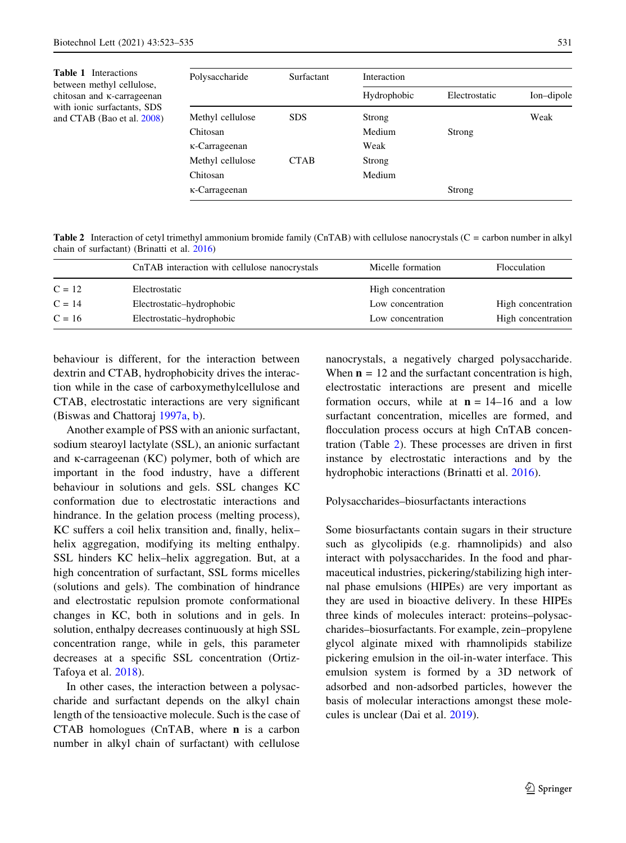<span id="page-9-0"></span>Table 1 Interactions between methyl cellulose, chitosan and <sub>K</sub>-carrageenan with ionic surfactants, SDS and CTAB (Bao et al. [2008](#page-10-0))

| Polysaccharide   | <b>Surfactant</b> | Interaction |               |            |
|------------------|-------------------|-------------|---------------|------------|
|                  |                   | Hydrophobic | Electrostatic | Ion-dipole |
| Methyl cellulose | <b>SDS</b>        | Strong      |               | Weak       |
| Chitosan         |                   | Medium      | Strong        |            |
| κ-Carrageenan    |                   | Weak        |               |            |
| Methyl cellulose | <b>CTAB</b>       | Strong      |               |            |
| Chitosan         |                   | Medium      |               |            |
| κ-Carrageenan    |                   |             | Strong        |            |

Table 2 Interaction of cetyl trimethyl ammonium bromide family (CnTAB) with cellulose nanocrystals (C = carbon number in alkyl chain of surfactant) (Brinatti et al. [2016\)](#page-10-0)

|          | CnTAB interaction with cellulose nanocrystals | Micelle formation  | Flocculation       |
|----------|-----------------------------------------------|--------------------|--------------------|
| $C = 12$ | Electrostatic                                 | High concentration |                    |
| $C = 14$ | Electrostatic-hydrophobic                     | Low concentration  | High concentration |
| $C = 16$ | Electrostatic-hydrophobic                     | Low concentration  | High concentration |

behaviour is different, for the interaction between dextrin and CTAB, hydrophobicity drives the interaction while in the case of carboxymethylcellulose and CTAB, electrostatic interactions are very significant (Biswas and Chattoraj [1997a,](#page-10-0) [b\)](#page-10-0).

Another example of PSS with an anionic surfactant, sodium stearoyl lactylate (SSL), an anionic surfactant and  $\kappa$ -carrageenan (KC) polymer, both of which are important in the food industry, have a different behaviour in solutions and gels. SSL changes KC conformation due to electrostatic interactions and hindrance. In the gelation process (melting process), KC suffers a coil helix transition and, finally, helix– helix aggregation, modifying its melting enthalpy. SSL hinders KC helix–helix aggregation. But, at a high concentration of surfactant, SSL forms micelles (solutions and gels). The combination of hindrance and electrostatic repulsion promote conformational changes in KC, both in solutions and in gels. In solution, enthalpy decreases continuously at high SSL concentration range, while in gels, this parameter decreases at a specific SSL concentration (Ortiz-Tafoya et al. [2018\)](#page-12-0).

In other cases, the interaction between a polysaccharide and surfactant depends on the alkyl chain length of the tensioactive molecule. Such is the case of CTAB homologues (CnTAB, where n is a carbon number in alkyl chain of surfactant) with cellulose

nanocrystals, a negatively charged polysaccharide. When  $\mathbf{n} = 12$  and the surfactant concentration is high, electrostatic interactions are present and micelle formation occurs, while at  $n = 14-16$  and a low surfactant concentration, micelles are formed, and flocculation process occurs at high CnTAB concentration (Table 2). These processes are driven in first instance by electrostatic interactions and by the hydrophobic interactions (Brinatti et al. [2016](#page-10-0)).

Polysaccharides–biosurfactants interactions

Some biosurfactants contain sugars in their structure such as glycolipids (e.g. rhamnolipids) and also interact with polysaccharides. In the food and pharmaceutical industries, pickering/stabilizing high internal phase emulsions (HIPEs) are very important as they are used in bioactive delivery. In these HIPEs three kinds of molecules interact: proteins–polysaccharides–biosurfactants. For example, zein–propylene glycol alginate mixed with rhamnolipids stabilize pickering emulsion in the oil-in-water interface. This emulsion system is formed by a 3D network of adsorbed and non-adsorbed particles, however the basis of molecular interactions amongst these molecules is unclear (Dai et al. [2019](#page-11-0)).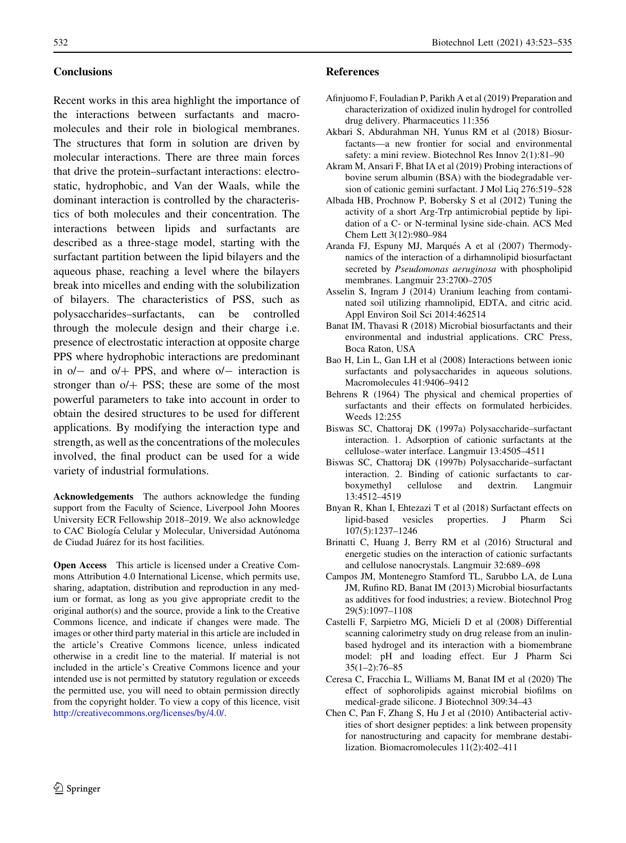#### <span id="page-10-0"></span>**Conclusions**

Recent works in this area highlight the importance of the interactions between surfactants and macromolecules and their role in biological membranes. The structures that form in solution are driven by molecular interactions. There are three main forces that drive the protein–surfactant interactions: electrostatic, hydrophobic, and Van der Waals, while the dominant interaction is controlled by the characteristics of both molecules and their concentration. The interactions between lipids and surfactants are described as a three-stage model, starting with the surfactant partition between the lipid bilayers and the aqueous phase, reaching a level where the bilayers break into micelles and ending with the solubilization of bilayers. The characteristics of PSS, such as polysaccharides–surfactants, can be controlled through the molecule design and their charge i.e. presence of electrostatic interaction at opposite charge PPS where hydrophobic interactions are predominant in  $o/-$  and  $o/+$  PPS, and where  $o/-$  interaction is stronger than  $o/+\text{PSS}$ ; these are some of the most powerful parameters to take into account in order to obtain the desired structures to be used for different applications. By modifying the interaction type and strength, as well as the concentrations of the molecules involved, the final product can be used for a wide variety of industrial formulations.

Acknowledgements The authors acknowledge the funding support from the Faculty of Science, Liverpool John Moores University ECR Fellowship 2018–2019. We also acknowledge to CAC Biología Celular y Molecular, Universidad Autónoma de Ciudad Juárez for its host facilities.

Open Access This article is licensed under a Creative Commons Attribution 4.0 International License, which permits use, sharing, adaptation, distribution and reproduction in any medium or format, as long as you give appropriate credit to the original author(s) and the source, provide a link to the Creative Commons licence, and indicate if changes were made. The images or other third party material in this article are included in the article's Creative Commons licence, unless indicated otherwise in a credit line to the material. If material is not included in the article's Creative Commons licence and your intended use is not permitted by statutory regulation or exceeds the permitted use, you will need to obtain permission directly from the copyright holder. To view a copy of this licence, visit <http://creativecommons.org/licenses/by/4.0/>.

#### References

- Afinjuomo F, Fouladian P, Parikh A et al (2019) Preparation and characterization of oxidized inulin hydrogel for controlled drug delivery. Pharmaceutics 11:356
- Akbari S, Abdurahman NH, Yunus RM et al (2018) Biosurfactants—a new frontier for social and environmental safety: a mini review. Biotechnol Res Innov 2(1):81–90
- Akram M, Ansari F, Bhat IA et al (2019) Probing interactions of bovine serum albumin (BSA) with the biodegradable version of cationic gemini surfactant. J Mol Liq 276:519–528
- Albada HB, Prochnow P, Bobersky S et al (2012) Tuning the activity of a short Arg-Trp antimicrobial peptide by lipidation of a C- or N-terminal lysine side-chain. ACS Med Chem Lett 3(12):980–984
- Aranda FJ, Espuny MJ, Marqués A et al (2007) Thermodynamics of the interaction of a dirhamnolipid biosurfactant secreted by Pseudomonas aeruginosa with phospholipid membranes. Langmuir 23:2700–2705
- Asselin S, Ingram J (2014) Uranium leaching from contaminated soil utilizing rhamnolipid, EDTA, and citric acid. Appl Environ Soil Sci 2014:462514
- Banat IM, Thavasi R (2018) Microbial biosurfactants and their environmental and industrial applications. CRC Press, Boca Raton, USA
- Bao H, Lin L, Gan LH et al (2008) Interactions between ionic surfactants and polysaccharides in aqueous solutions. Macromolecules 41:9406–9412
- Behrens R (1964) The physical and chemical properties of surfactants and their effects on formulated herbicides. Weeds 12:255
- Biswas SC, Chattoraj DK (1997a) Polysaccharide–surfactant interaction. 1. Adsorption of cationic surfactants at the cellulose–water interface. Langmuir 13:4505–4511
- Biswas SC, Chattoraj DK (1997b) Polysaccharide–surfactant interaction. 2. Binding of cationic surfactants to carboxymethyl cellulose and dextrin. Langmuir 13:4512–4519
- Bnyan R, Khan I, Ehtezazi T et al (2018) Surfactant effects on lipid-based vesicles properties. J Pharm Sci 107(5):1237–1246
- Brinatti C, Huang J, Berry RM et al (2016) Structural and energetic studies on the interaction of cationic surfactants and cellulose nanocrystals. Langmuir 32:689–698
- Campos JM, Montenegro Stamford TL, Sarubbo LA, de Luna JM, Rufino RD, Banat IM (2013) Microbial biosurfactants as additives for food industries; a review. Biotechnol Prog 29(5):1097–1108
- Castelli F, Sarpietro MG, Micieli D et al (2008) Differential scanning calorimetry study on drug release from an inulinbased hydrogel and its interaction with a biomembrane model: pH and loading effect. Eur J Pharm Sci 35(1–2):76–85
- Ceresa C, Fracchia L, Williams M, Banat IM et al (2020) The effect of sophorolipids against microbial biofilms on medical-grade silicone. J Biotechnol 309:34–43
- Chen C, Pan F, Zhang S, Hu J et al (2010) Antibacterial activities of short designer peptides: a link between propensity for nanostructuring and capacity for membrane destabilization. Biomacromolecules 11(2):402–411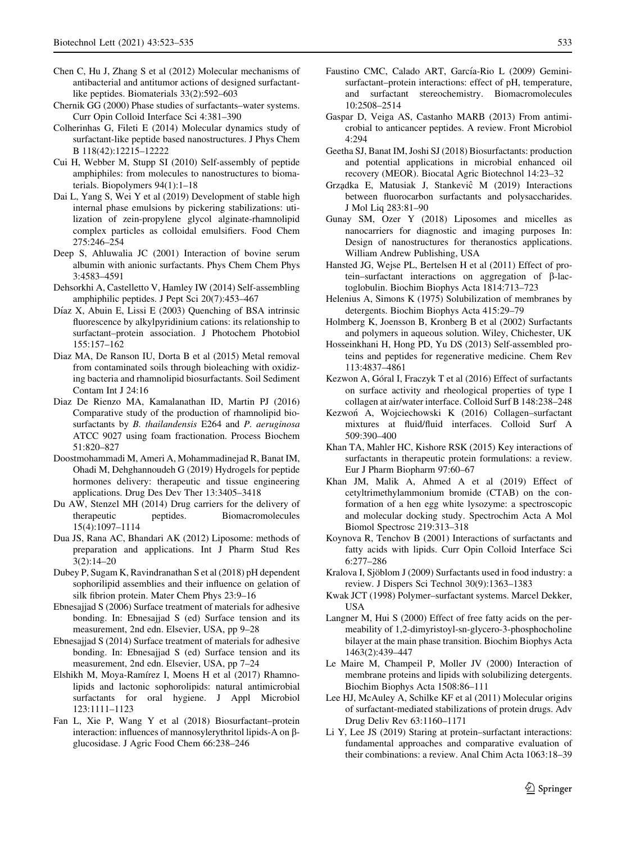- <span id="page-11-0"></span>Chen C, Hu J, Zhang S et al (2012) Molecular mechanisms of antibacterial and antitumor actions of designed surfactantlike peptides. Biomaterials 33(2):592–603
- Chernik GG (2000) Phase studies of surfactants–water systems. Curr Opin Colloid Interface Sci 4:381–390
- Colherinhas G, Fileti E (2014) Molecular dynamics study of surfactant-like peptide based nanostructures. J Phys Chem B 118(42):12215–12222
- Cui H, Webber M, Stupp SI (2010) Self-assembly of peptide amphiphiles: from molecules to nanostructures to biomaterials. Biopolymers 94(1):1–18
- Dai L, Yang S, Wei Y et al (2019) Development of stable high internal phase emulsions by pickering stabilizations: utilization of zein-propylene glycol alginate-rhamnolipid complex particles as colloidal emulsifiers. Food Chem 275:246–254
- Deep S, Ahluwalia JC (2001) Interaction of bovine serum albumin with anionic surfactants. Phys Chem Chem Phys 3:4583–4591
- Dehsorkhi A, Castelletto V, Hamley IW (2014) Self-assembling amphiphilic peptides. J Pept Sci 20(7):453–467
- Díaz X, Abuin E, Lissi E  $(2003)$  Quenching of BSA intrinsic fluorescence by alkylpyridinium cations: its relationship to surfactant–protein association. J Photochem Photobiol 155:157–162
- Diaz MA, De Ranson IU, Dorta B et al (2015) Metal removal from contaminated soils through bioleaching with oxidizing bacteria and rhamnolipid biosurfactants. Soil Sediment Contam Int J 24:16
- Diaz De Rienzo MA, Kamalanathan ID, Martin PJ (2016) Comparative study of the production of rhamnolipid biosurfactants by B. thailandensis E264 and P. aeruginosa ATCC 9027 using foam fractionation. Process Biochem 51:820–827
- Doostmohammadi M, Ameri A, Mohammadinejad R, Banat IM, Ohadi M, Dehghannoudeh G (2019) Hydrogels for peptide hormones delivery: therapeutic and tissue engineering applications. Drug Des Dev Ther 13:3405–3418
- Du AW, Stenzel MH (2014) Drug carriers for the delivery of therapeutic peptides. Biomacromolecules 15(4):1097–1114
- Dua JS, Rana AC, Bhandari AK (2012) Liposome: methods of preparation and applications. Int J Pharm Stud Res 3(2):14–20
- Dubey P, Sugam K, Ravindranathan S et al (2018) pH dependent sophorilipid assemblies and their influence on gelation of silk fibrion protein. Mater Chem Phys 23:9–16
- Ebnesajjad S (2006) Surface treatment of materials for adhesive bonding. In: Ebnesajjad S (ed) Surface tension and its measurement, 2nd edn. Elsevier, USA, pp 9–28
- Ebnesajjad S (2014) Surface treatment of materials for adhesive bonding. In: Ebnesajjad S (ed) Surface tension and its measurement, 2nd edn. Elsevier, USA, pp 7–24
- Elshikh M, Moya-Ramírez I, Moens H et al (2017) Rhamnolipids and lactonic sophorolipids: natural antimicrobial surfactants for oral hygiene. J Appl Microbiol 123:1111–1123
- Fan L, Xie P, Wang Y et al (2018) Biosurfactant–protein interaction: influences of mannosylerythritol lipids-A on bglucosidase. J Agric Food Chem 66:238–246
- Faustino CMC, Calado ART, García-Rio L (2009) Geminisurfactant–protein interactions: effect of pH, temperature, and surfactant stereochemistry. Biomacromolecules 10:2508–2514
- Gaspar D, Veiga AS, Castanho MARB (2013) From antimicrobial to anticancer peptides. A review. Front Microbiol 4:294
- Geetha SJ, Banat IM, Joshi SJ (2018) Biosurfactants: production and potential applications in microbial enhanced oil recovery (MEOR). Biocatal Agric Biotechnol 14:23–32
- Grządka E, Matusiak J, Stankeviĉ M (2019) Interactions between fluorocarbon surfactants and polysaccharides. J Mol Liq 283:81–90
- Gunay SM, Ozer Y (2018) Liposomes and micelles as nanocarriers for diagnostic and imaging purposes In: Design of nanostructures for theranostics applications. William Andrew Publishing, USA
- Hansted JG, Wejse PL, Bertelsen H et al (2011) Effect of protein–surfactant interactions on aggregation of  $\beta$ -lactoglobulin. Biochim Biophys Acta 1814:713–723
- Helenius A, Simons K (1975) Solubilization of membranes by detergents. Biochim Biophys Acta 415:29–79
- Holmberg K, Joensson B, Kronberg B et al (2002) Surfactants and polymers in aqueous solution. Wiley, Chichester, UK
- Hosseinkhani H, Hong PD, Yu DS (2013) Self-assembled proteins and peptides for regenerative medicine. Chem Rev 113:4837–4861
- Kezwon A, Góral I, Fraczyk T et al (2016) Effect of surfactants on surface activity and rheological properties of type I collagen at air/water interface. Colloid Surf B 148:238–248
- Kezwon´ A, Wojciechowski K (2016) Collagen–surfactant mixtures at fluid/fluid interfaces. Colloid Surf A 509:390–400
- Khan TA, Mahler HC, Kishore RSK (2015) Key interactions of surfactants in therapeutic protein formulations: a review. Eur J Pharm Biopharm 97:60–67
- Khan JM, Malik A, Ahmed A et al (2019) Effect of cetyltrimethylammonium bromide (CTAB) on the conformation of a hen egg white lysozyme: a spectroscopic and molecular docking study. Spectrochim Acta A Mol Biomol Spectrosc 219:313–318
- Koynova R, Tenchov B (2001) Interactions of surfactants and fatty acids with lipids. Curr Opin Colloid Interface Sci 6:277–286
- Kralova I, Sjöblom J (2009) Surfactants used in food industry: a review. J Dispers Sci Technol 30(9):1363–1383
- Kwak JCT (1998) Polymer–surfactant systems. Marcel Dekker, USA
- Langner M, Hui S (2000) Effect of free fatty acids on the permeability of 1,2-dimyristoyl-sn-glycero-3-phosphocholine bilayer at the main phase transition. Biochim Biophys Acta 1463(2):439–447
- Le Maire M, Champeil P, Moller JV (2000) Interaction of membrane proteins and lipids with solubilizing detergents. Biochim Biophys Acta 1508:86–111
- Lee HJ, McAuley A, Schilke KF et al (2011) Molecular origins of surfactant-mediated stabilizations of protein drugs. Adv Drug Deliv Rev 63:1160–1171
- Li Y, Lee JS (2019) Staring at protein–surfactant interactions: fundamental approaches and comparative evaluation of their combinations: a review. Anal Chim Acta 1063:18–39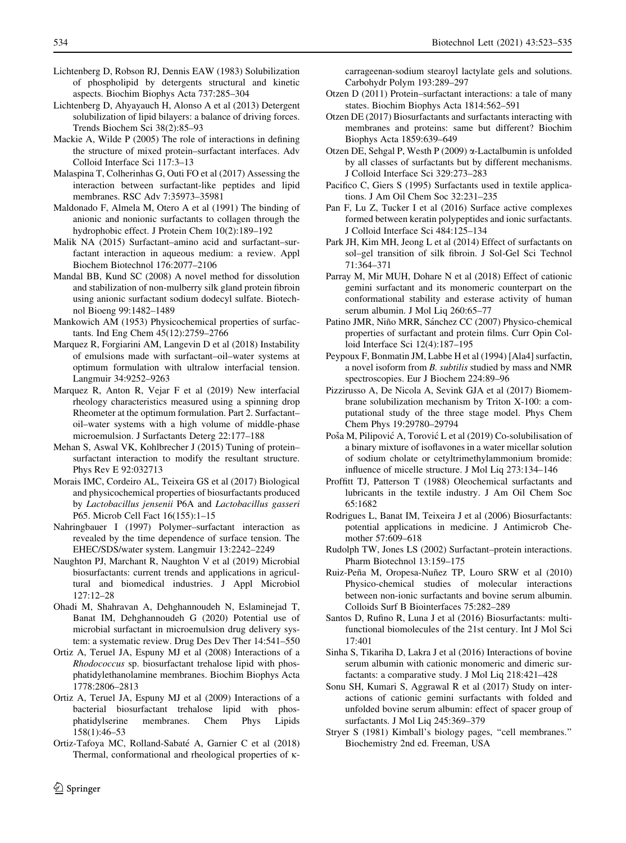- <span id="page-12-0"></span>Lichtenberg D, Robson RJ, Dennis EAW (1983) Solubilization of phospholipid by detergents structural and kinetic aspects. Biochim Biophys Acta 737:285–304
- Lichtenberg D, Ahyayauch H, Alonso A et al (2013) Detergent solubilization of lipid bilayers: a balance of driving forces. Trends Biochem Sci 38(2):85–93
- Mackie A, Wilde P (2005) The role of interactions in defining the structure of mixed protein–surfactant interfaces. Adv Colloid Interface Sci 117:3–13
- Malaspina T, Colherinhas G, Outi FO et al (2017) Assessing the interaction between surfactant-like peptides and lipid membranes. RSC Adv 7:35973–35981
- Maldonado F, Almela M, Otero A et al (1991) The binding of anionic and nonionic surfactants to collagen through the hydrophobic effect. J Protein Chem 10(2):189–192
- Malik NA (2015) Surfactant–amino acid and surfactant–surfactant interaction in aqueous medium: a review. Appl Biochem Biotechnol 176:2077–2106
- Mandal BB, Kund SC (2008) A novel method for dissolution and stabilization of non-mulberry silk gland protein fibroin using anionic surfactant sodium dodecyl sulfate. Biotechnol Bioeng 99:1482–1489
- Mankowich AM (1953) Physicochemical properties of surfactants. Ind Eng Chem 45(12):2759–2766
- Marquez R, Forgiarini AM, Langevin D et al (2018) Instability of emulsions made with surfactant–oil–water systems at optimum formulation with ultralow interfacial tension. Langmuir 34:9252–9263
- Marquez R, Anton R, Vejar F et al (2019) New interfacial rheology characteristics measured using a spinning drop Rheometer at the optimum formulation. Part 2. Surfactant– oil–water systems with a high volume of middle-phase microemulsion. J Surfactants Deterg 22:177–188
- Mehan S, Aswal VK, Kohlbrecher J (2015) Tuning of protein– surfactant interaction to modify the resultant structure. Phys Rev E 92:032713
- Morais IMC, Cordeiro AL, Teixeira GS et al (2017) Biological and physicochemical properties of biosurfactants produced by Lactobacillus jensenii P6A and Lactobacillus gasseri P65. Microb Cell Fact 16(155):1–15
- Nahringbauer I (1997) Polymer–surfactant interaction as revealed by the time dependence of surface tension. The EHEC/SDS/water system. Langmuir 13:2242–2249
- Naughton PJ, Marchant R, Naughton V et al (2019) Microbial biosurfactants: current trends and applications in agricultural and biomedical industries. J Appl Microbiol 127:12–28
- Ohadi M, Shahravan A, Dehghannoudeh N, Eslaminejad T, Banat IM, Dehghannoudeh G (2020) Potential use of microbial surfactant in microemulsion drug delivery system: a systematic review. Drug Des Dev Ther 14:541–550
- Ortiz A, Teruel JA, Espuny MJ et al (2008) Interactions of a Rhodococcus sp. biosurfactant trehalose lipid with phosphatidylethanolamine membranes. Biochim Biophys Acta 1778:2806–2813
- Ortiz A, Teruel JA, Espuny MJ et al (2009) Interactions of a bacterial biosurfactant trehalose lipid with phosphatidylserine membranes. Chem Phys Lipids 158(1):46–53
- Ortiz-Tafoya MC, Rolland-Sabate´ A, Garnier C et al (2018) Thermal, conformational and rheological properties of  $\kappa$ -

carrageenan-sodium stearoyl lactylate gels and solutions. Carbohydr Polym 193:289–297

- Otzen D (2011) Protein–surfactant interactions: a tale of many states. Biochim Biophys Acta 1814:562–591
- Otzen DE (2017) Biosurfactants and surfactants interacting with membranes and proteins: same but different? Biochim Biophys Acta 1859:639–649
- Otzen DE, Sehgal P, Westh P  $(2009)$   $\alpha$ -Lactalbumin is unfolded by all classes of surfactants but by different mechanisms. J Colloid Interface Sci 329:273–283
- Pacifico C, Giers S (1995) Surfactants used in textile applications. J Am Oil Chem Soc 32:231–235
- Pan F, Lu Z, Tucker I et al (2016) Surface active complexes formed between keratin polypeptides and ionic surfactants. J Colloid Interface Sci 484:125–134
- Park JH, Kim MH, Jeong L et al (2014) Effect of surfactants on sol–gel transition of silk fibroin. J Sol-Gel Sci Technol 71:364–371
- Parray M, Mir MUH, Dohare N et al (2018) Effect of cationic gemini surfactant and its monomeric counterpart on the conformational stability and esterase activity of human serum albumin. J Mol Liq 260:65–77
- Patino JMR, Niño MRR, Sánchez CC (2007) Physico-chemical properties of surfactant and protein films. Curr Opin Colloid Interface Sci 12(4):187–195
- Peypoux F, Bonmatin JM, Labbe H et al (1994) [Ala4] surfactin, a novel isoform from B. subtilis studied by mass and NMR spectroscopies. Eur J Biochem 224:89–96
- Pizzirusso A, De Nicola A, Sevink GJA et al (2017) Biomembrane solubilization mechanism by Triton X-100: a computational study of the three stage model. Phys Chem Chem Phys 19:29780–29794
- Poša M, Pilipović A, Torović L et al (2019) Co-solubilisation of a binary mixture of isoflavones in a water micellar solution of sodium cholate or cetyltrimethylammonium bromide: influence of micelle structure. J Mol Liq 273:134–146
- Proffitt TJ, Patterson T (1988) Oleochemical surfactants and lubricants in the textile industry. J Am Oil Chem Soc 65:1682
- Rodrigues L, Banat IM, Teixeira J et al (2006) Biosurfactants: potential applications in medicine. J Antimicrob Chemother 57:609–618
- Rudolph TW, Jones LS (2002) Surfactant–protein interactions. Pharm Biotechnol 13:159–175
- Ruiz-Peña M, Oropesa-Nuñez TP, Louro SRW et al (2010) Physico-chemical studies of molecular interactions between non-ionic surfactants and bovine serum albumin. Colloids Surf B Biointerfaces 75:282–289
- Santos D, Rufino R, Luna J et al (2016) Biosurfactants: multifunctional biomolecules of the 21st century. Int J Mol Sci 17:401
- Sinha S, Tikariha D, Lakra J et al (2016) Interactions of bovine serum albumin with cationic monomeric and dimeric surfactants: a comparative study. J Mol Liq 218:421–428
- Sonu SH, Kumari S, Aggrawal R et al (2017) Study on interactions of cationic gemini surfactants with folded and unfolded bovine serum albumin: effect of spacer group of surfactants. J Mol Liq 245:369–379
- Stryer S (1981) Kimball's biology pages, ''cell membranes.'' Biochemistry 2nd ed. Freeman, USA